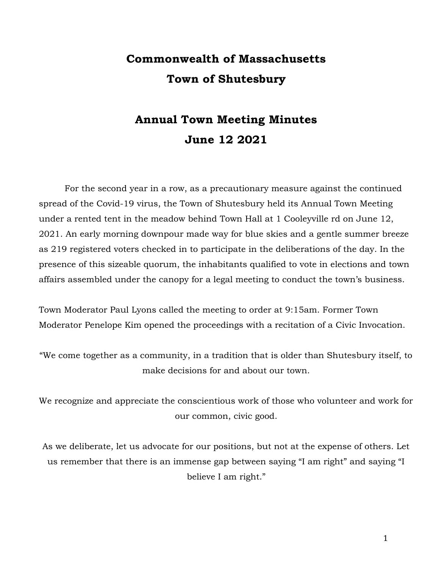# Commonwealth of Massachusetts Town of Shutesbury

## Annual Town Meeting Minutes June 12 2021

For the second year in a row, as a precautionary measure against the continued spread of the Covid-19 virus, the Town of Shutesbury held its Annual Town Meeting under a rented tent in the meadow behind Town Hall at 1 Cooleyville rd on June 12, 2021. An early morning downpour made way for blue skies and a gentle summer breeze as 219 registered voters checked in to participate in the deliberations of the day. In the presence of this sizeable quorum, the inhabitants qualified to vote in elections and town affairs assembled under the canopy for a legal meeting to conduct the town's business.

Town Moderator Paul Lyons called the meeting to order at 9:15am. Former Town Moderator Penelope Kim opened the proceedings with a recitation of a Civic Invocation.

"We come together as a community, in a tradition that is older than Shutesbury itself, to make decisions for and about our town.

We recognize and appreciate the conscientious work of those who volunteer and work for our common, civic good.

As we deliberate, let us advocate for our positions, but not at the expense of others. Let us remember that there is an immense gap between saying "I am right" and saying "I believe I am right."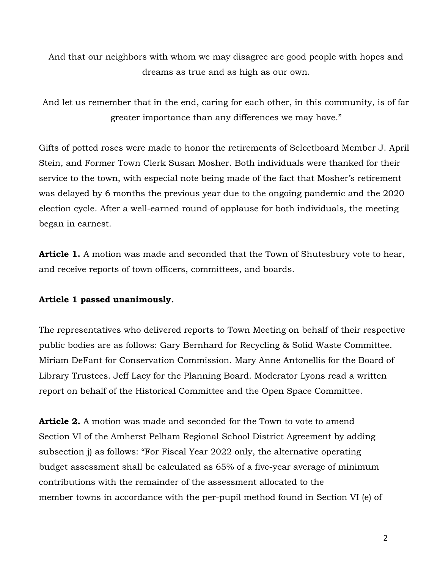And that our neighbors with whom we may disagree are good people with hopes and dreams as true and as high as our own.

And let us remember that in the end, caring for each other, in this community, is of far greater importance than any differences we may have."

Gifts of potted roses were made to honor the retirements of Selectboard Member J. April Stein, and Former Town Clerk Susan Mosher. Both individuals were thanked for their service to the town, with especial note being made of the fact that Mosher's retirement was delayed by 6 months the previous year due to the ongoing pandemic and the 2020 election cycle. After a well-earned round of applause for both individuals, the meeting began in earnest.

**Article 1.** A motion was made and seconded that the Town of Shutesbury vote to hear, and receive reports of town officers, committees, and boards.

#### Article 1 passed unanimously.

The representatives who delivered reports to Town Meeting on behalf of their respective public bodies are as follows: Gary Bernhard for Recycling & Solid Waste Committee. Miriam DeFant for Conservation Commission. Mary Anne Antonellis for the Board of Library Trustees. Jeff Lacy for the Planning Board. Moderator Lyons read a written report on behalf of the Historical Committee and the Open Space Committee.

**Article 2.** A motion was made and seconded for the Town to vote to amend Section VI of the Amherst Pelham Regional School District Agreement by adding subsection j) as follows: "For Fiscal Year 2022 only, the alternative operating budget assessment shall be calculated as 65% of a five-year average of minimum contributions with the remainder of the assessment allocated to the member towns in accordance with the per-pupil method found in Section VI (e) of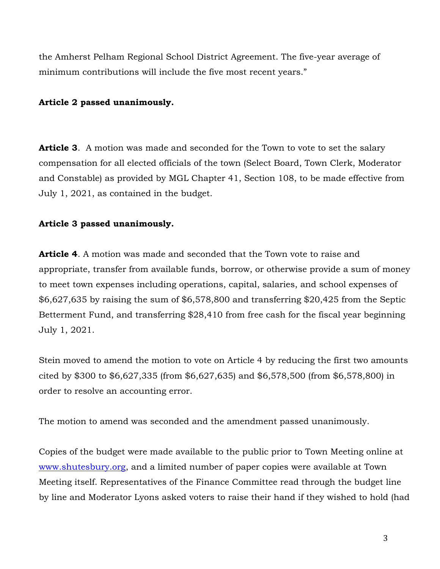the Amherst Pelham Regional School District Agreement. The five-year average of minimum contributions will include the five most recent years."

#### Article 2 passed unanimously.

**Article 3.** A motion was made and seconded for the Town to vote to set the salary compensation for all elected officials of the town (Select Board, Town Clerk, Moderator and Constable) as provided by MGL Chapter 41, Section 108, to be made effective from July 1, 2021, as contained in the budget.

#### Article 3 passed unanimously.

**Article 4.** A motion was made and seconded that the Town vote to raise and appropriate, transfer from available funds, borrow, or otherwise provide a sum of money to meet town expenses including operations, capital, salaries, and school expenses of \$6,627,635 by raising the sum of \$6,578,800 and transferring \$20,425 from the Septic Betterment Fund, and transferring \$28,410 from free cash for the fiscal year beginning July 1, 2021.

Stein moved to amend the motion to vote on Article 4 by reducing the first two amounts cited by \$300 to \$6,627,335 (from \$6,627,635) and \$6,578,500 (from \$6,578,800) in order to resolve an accounting error.

The motion to amend was seconded and the amendment passed unanimously.

Copies of the budget were made available to the public prior to Town Meeting online at www.shutesbury.org, and a limited number of paper copies were available at Town Meeting itself. Representatives of the Finance Committee read through the budget line by line and Moderator Lyons asked voters to raise their hand if they wished to hold (had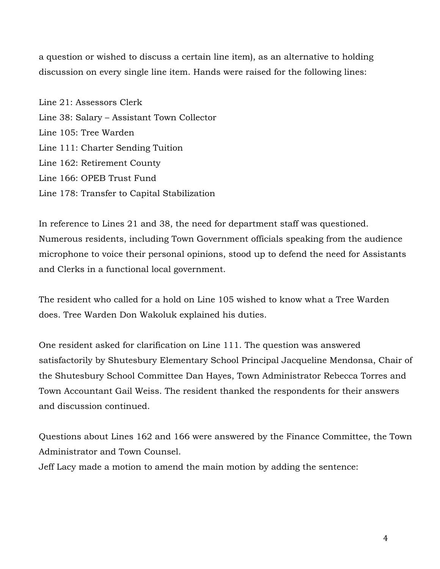a question or wished to discuss a certain line item), as an alternative to holding discussion on every single line item. Hands were raised for the following lines:

Line 21: Assessors Clerk Line 38: Salary – Assistant Town Collector Line 105: Tree Warden Line 111: Charter Sending Tuition Line 162: Retirement County Line 166: OPEB Trust Fund Line 178: Transfer to Capital Stabilization

In reference to Lines 21 and 38, the need for department staff was questioned. Numerous residents, including Town Government officials speaking from the audience microphone to voice their personal opinions, stood up to defend the need for Assistants and Clerks in a functional local government.

The resident who called for a hold on Line 105 wished to know what a Tree Warden does. Tree Warden Don Wakoluk explained his duties.

One resident asked for clarification on Line 111. The question was answered satisfactorily by Shutesbury Elementary School Principal Jacqueline Mendonsa, Chair of the Shutesbury School Committee Dan Hayes, Town Administrator Rebecca Torres and Town Accountant Gail Weiss. The resident thanked the respondents for their answers and discussion continued.

Questions about Lines 162 and 166 were answered by the Finance Committee, the Town Administrator and Town Counsel.

Jeff Lacy made a motion to amend the main motion by adding the sentence: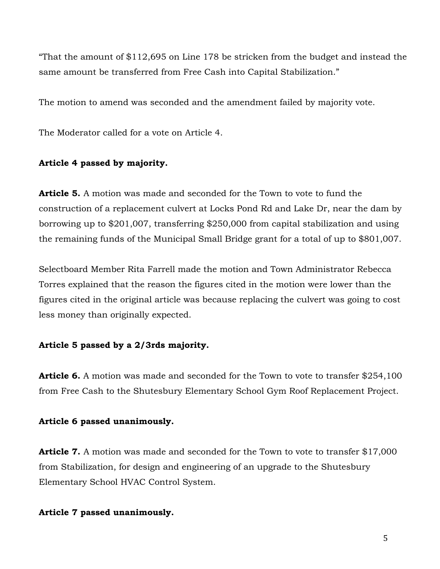"That the amount of \$112,695 on Line 178 be stricken from the budget and instead the same amount be transferred from Free Cash into Capital Stabilization."

The motion to amend was seconded and the amendment failed by majority vote.

The Moderator called for a vote on Article 4.

## Article 4 passed by majority.

**Article 5.** A motion was made and seconded for the Town to vote to fund the construction of a replacement culvert at Locks Pond Rd and Lake Dr, near the dam by borrowing up to \$201,007, transferring \$250,000 from capital stabilization and using the remaining funds of the Municipal Small Bridge grant for a total of up to \$801,007.

Selectboard Member Rita Farrell made the motion and Town Administrator Rebecca Torres explained that the reason the figures cited in the motion were lower than the figures cited in the original article was because replacing the culvert was going to cost less money than originally expected.

## Article 5 passed by a 2/3rds majority.

Article 6. A motion was made and seconded for the Town to vote to transfer \$254,100 from Free Cash to the Shutesbury Elementary School Gym Roof Replacement Project.

## Article 6 passed unanimously.

**Article 7.** A motion was made and seconded for the Town to vote to transfer \$17,000 from Stabilization, for design and engineering of an upgrade to the Shutesbury Elementary School HVAC Control System.

## Article 7 passed unanimously.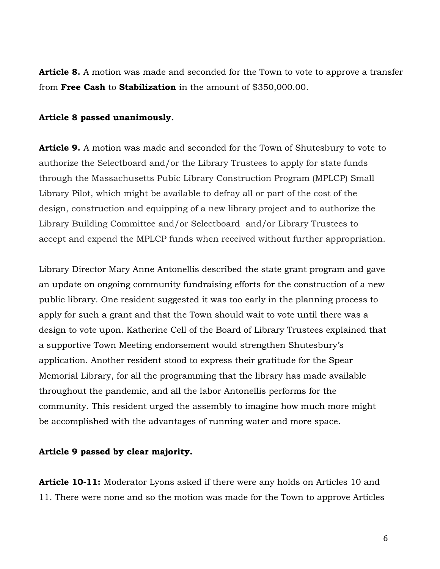**Article 8.** A motion was made and seconded for the Town to vote to approve a transfer from Free Cash to Stabilization in the amount of \$350,000.00.

#### Article 8 passed unanimously.

Article 9. A motion was made and seconded for the Town of Shutesbury to vote to authorize the Selectboard and/or the Library Trustees to apply for state funds through the Massachusetts Pubic Library Construction Program (MPLCP) Small Library Pilot, which might be available to defray all or part of the cost of the design, construction and equipping of a new library project and to authorize the Library Building Committee and/or Selectboard and/or Library Trustees to accept and expend the MPLCP funds when received without further appropriation.

Library Director Mary Anne Antonellis described the state grant program and gave an update on ongoing community fundraising efforts for the construction of a new public library. One resident suggested it was too early in the planning process to apply for such a grant and that the Town should wait to vote until there was a design to vote upon. Katherine Cell of the Board of Library Trustees explained that a supportive Town Meeting endorsement would strengthen Shutesbury's application. Another resident stood to express their gratitude for the Spear Memorial Library, for all the programming that the library has made available throughout the pandemic, and all the labor Antonellis performs for the community. This resident urged the assembly to imagine how much more might be accomplished with the advantages of running water and more space.

#### Article 9 passed by clear majority.

Article 10-11: Moderator Lyons asked if there were any holds on Articles 10 and 11. There were none and so the motion was made for the Town to approve Articles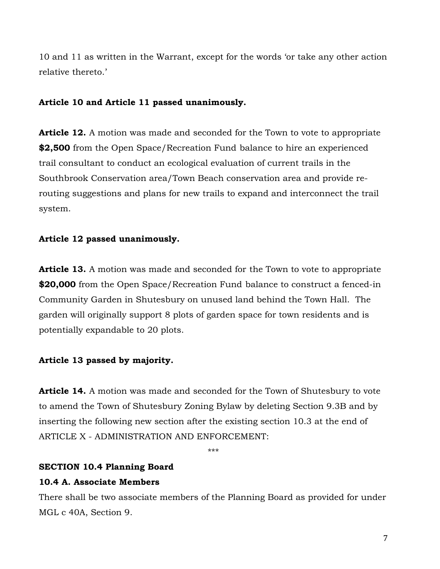10 and 11 as written in the Warrant, except for the words 'or take any other action relative thereto.'

### Article 10 and Article 11 passed unanimously.

**Article 12.** A motion was made and seconded for the Town to vote to appropriate \$2,500 from the Open Space/Recreation Fund balance to hire an experienced trail consultant to conduct an ecological evaluation of current trails in the Southbrook Conservation area/Town Beach conservation area and provide rerouting suggestions and plans for new trails to expand and interconnect the trail system.

## Article 12 passed unanimously.

**Article 13.** A motion was made and seconded for the Town to vote to appropriate \$20,000 from the Open Space/Recreation Fund balance to construct a fenced-in Community Garden in Shutesbury on unused land behind the Town Hall. The garden will originally support 8 plots of garden space for town residents and is potentially expandable to 20 plots.

## Article 13 passed by majority.

Article 14. A motion was made and seconded for the Town of Shutesbury to vote to amend the Town of Shutesbury Zoning Bylaw by deleting Section 9.3B and by inserting the following new section after the existing section 10.3 at the end of ARTICLE X - ADMINISTRATION AND ENFORCEMENT:

\*\*\*

## SECTION 10.4 Planning Board

## 10.4 A. Associate Members

There shall be two associate members of the Planning Board as provided for under MGL c 40A, Section 9.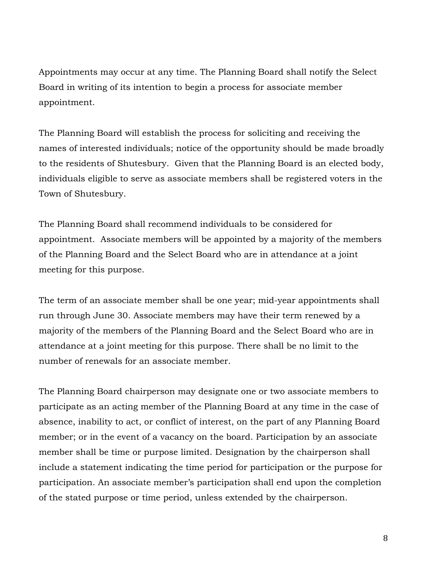Appointments may occur at any time. The Planning Board shall notify the Select Board in writing of its intention to begin a process for associate member appointment.

The Planning Board will establish the process for soliciting and receiving the names of interested individuals; notice of the opportunity should be made broadly to the residents of Shutesbury. Given that the Planning Board is an elected body, individuals eligible to serve as associate members shall be registered voters in the Town of Shutesbury.

The Planning Board shall recommend individuals to be considered for appointment. Associate members will be appointed by a majority of the members of the Planning Board and the Select Board who are in attendance at a joint meeting for this purpose.

The term of an associate member shall be one year; mid-year appointments shall run through June 30. Associate members may have their term renewed by a majority of the members of the Planning Board and the Select Board who are in attendance at a joint meeting for this purpose. There shall be no limit to the number of renewals for an associate member.

The Planning Board chairperson may designate one or two associate members to participate as an acting member of the Planning Board at any time in the case of absence, inability to act, or conflict of interest, on the part of any Planning Board member; or in the event of a vacancy on the board. Participation by an associate member shall be time or purpose limited. Designation by the chairperson shall include a statement indicating the time period for participation or the purpose for participation. An associate member's participation shall end upon the completion of the stated purpose or time period, unless extended by the chairperson.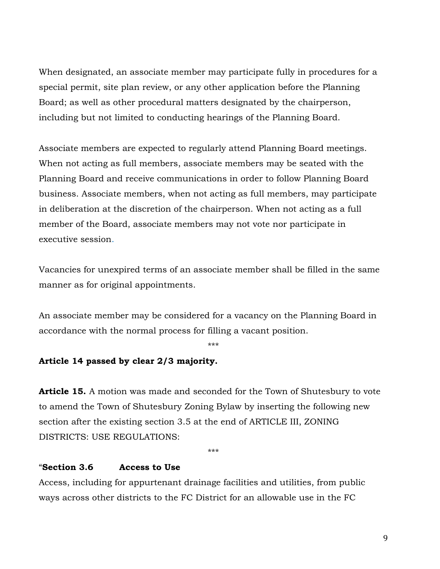When designated, an associate member may participate fully in procedures for a special permit, site plan review, or any other application before the Planning Board; as well as other procedural matters designated by the chairperson, including but not limited to conducting hearings of the Planning Board.

Associate members are expected to regularly attend Planning Board meetings. When not acting as full members, associate members may be seated with the Planning Board and receive communications in order to follow Planning Board business. Associate members, when not acting as full members, may participate in deliberation at the discretion of the chairperson. When not acting as a full member of the Board, associate members may not vote nor participate in executive session.

Vacancies for unexpired terms of an associate member shall be filled in the same manner as for original appointments.

An associate member may be considered for a vacancy on the Planning Board in accordance with the normal process for filling a vacant position.

\*\*\*

## Article 14 passed by clear 2/3 majority.

Article 15. A motion was made and seconded for the Town of Shutesbury to vote to amend the Town of Shutesbury Zoning Bylaw by inserting the following new section after the existing section 3.5 at the end of ARTICLE III, ZONING DISTRICTS: USE REGULATIONS:

\*\*\*

#### "Section 3.6 Access to Use

Access, including for appurtenant drainage facilities and utilities, from public ways across other districts to the FC District for an allowable use in the FC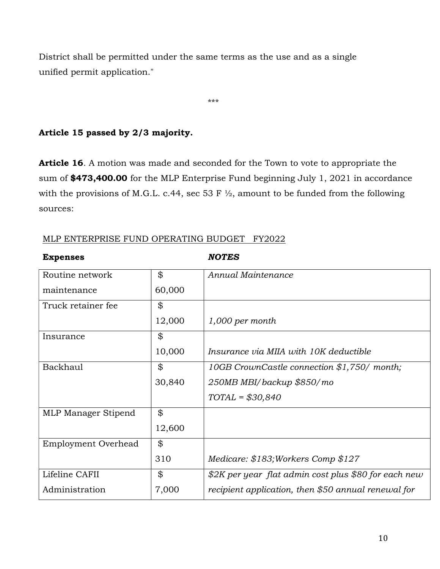District shall be permitted under the same terms as the use and as a single unified permit application."

\*\*\*

## Article 15 passed by 2/3 majority.

Article 16. A motion was made and seconded for the Town to vote to appropriate the sum of \$473,400.00 for the MLP Enterprise Fund beginning July 1, 2021 in accordance with the provisions of M.G.L. c.44, sec 53 F  $\frac{1}{2}$ , amount to be funded from the following sources:

| MLP ENTERPRISE FUND OPERATING BUDGET FY2022 |  |
|---------------------------------------------|--|
|---------------------------------------------|--|

#### Expenses NOTES

| Routine network            | \$     | Annual Maintenance                                   |
|----------------------------|--------|------------------------------------------------------|
| maintenance                | 60,000 |                                                      |
| Truck retainer fee         | \$     |                                                      |
|                            | 12,000 | $1,000$ per month                                    |
| Insurance                  | \$     |                                                      |
|                            | 10,000 | Insurance via MIIA with 10K deductible               |
| Backhaul                   | \$     | 10GB CrownCastle connection \$1,750/ month;          |
|                            | 30,840 | 250MB MBI/backup \$850/mo                            |
|                            |        | $TOTAL = $30,840$                                    |
| MLP Manager Stipend        | \$     |                                                      |
|                            | 12,600 |                                                      |
| <b>Employment Overhead</b> | \$     |                                                      |
|                            | 310    | Medicare: \$183; Workers Comp \$127                  |
| Lifeline CAFII             | \$     | \$2K per year flat admin cost plus \$80 for each new |
| Administration             | 7,000  | recipient application, then \$50 annual renewal for  |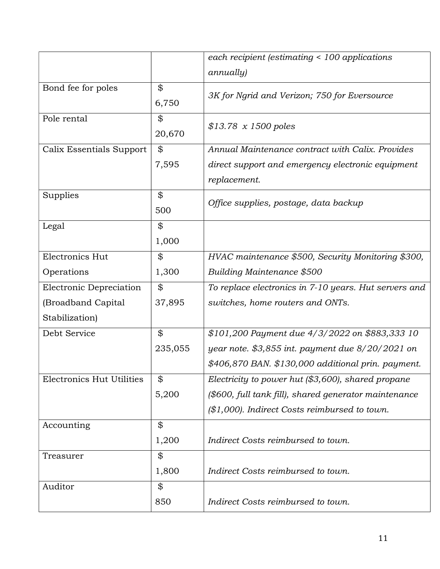|                                  |                | each recipient (estimating < 100 applications         |  |
|----------------------------------|----------------|-------------------------------------------------------|--|
|                                  |                | <i>annually</i> )                                     |  |
| Bond fee for poles               | \$             |                                                       |  |
|                                  | 6,750          | 3K for Ngrid and Verizon; 750 for Eversource          |  |
| Pole rental                      | \$             |                                                       |  |
|                                  | 20,670         | $$13.78 \times 1500 \text{ poles}$                    |  |
|                                  |                |                                                       |  |
| Calix Essentials Support         | \$             | Annual Maintenance contract with Calix. Provides      |  |
|                                  | 7,595          | direct support and emergency electronic equipment     |  |
|                                  |                | replacement.                                          |  |
| Supplies                         | \$             | Office supplies, postage, data backup                 |  |
|                                  | 500            |                                                       |  |
| Legal                            | \$             |                                                       |  |
|                                  | 1,000          |                                                       |  |
| Electronics Hut                  | \$             | HVAC maintenance \$500, Security Monitoring \$300,    |  |
| Operations                       | 1,300          | Building Maintenance \$500                            |  |
| Electronic Depreciation          | \$             | To replace electronics in 7-10 years. Hut servers and |  |
| (Broadband Capital               | 37,895         | switches, home routers and ONTs.                      |  |
| Stabilization)                   |                |                                                       |  |
| Debt Service                     | $\mathfrak{P}$ | \$101,200 Payment due 4/3/2022 on \$883,333 10        |  |
|                                  | 235,055        | year note. \$3,855 int. payment due $8/20/2021$ on    |  |
|                                  |                | \$406,870 BAN. \$130,000 additional prin. payment.    |  |
| <b>Electronics Hut Utilities</b> | \$             | Electricity to power hut $($3,600)$ , shared propane  |  |
|                                  | 5,200          | (\$600, full tank fill), shared generator maintenance |  |
|                                  |                | $($1,000)$ . Indirect Costs reimbursed to town.       |  |
| Accounting                       | \$             |                                                       |  |
|                                  | 1,200          | Indirect Costs reimbursed to town.                    |  |
| Treasurer                        | \$             |                                                       |  |
|                                  | 1,800          | Indirect Costs reimbursed to town.                    |  |
| Auditor                          | \$             |                                                       |  |
|                                  | 850            | Indirect Costs reimbursed to town.                    |  |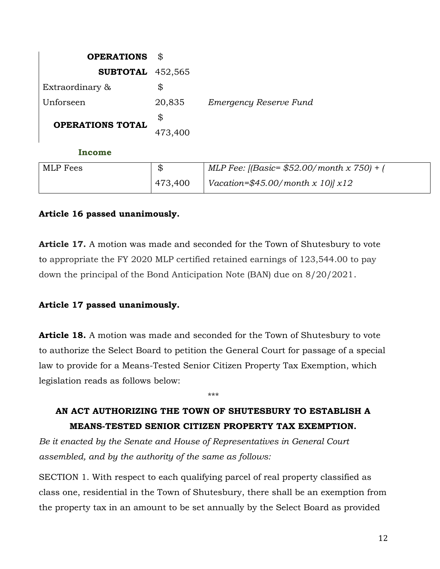| <b>OPERATIONS</b>         | \$      |                                              |
|---------------------------|---------|----------------------------------------------|
| <b>SUBTOTAL</b> $452,565$ |         |                                              |
| Extraordinary &           | \$      |                                              |
| Unforseen                 | 20,835  | Emergency Reserve Fund                       |
|                           | \$      |                                              |
| <b>OPERATIONS TOTAL</b>   | 473,400 |                                              |
| Income                    |         |                                              |
| <b>MLP</b> Fees           | \$      | MLP Fee: [(Basic= $$52.00/$ month x 750) + ( |
|                           | 473,400 | Vacation=\$45.00/month x 10) $x12$           |

## Article 16 passed unanimously.

Article 17. A motion was made and seconded for the Town of Shutesbury to vote to appropriate the FY 2020 MLP certified retained earnings of 123,544.00 to pay down the principal of the Bond Anticipation Note (BAN) due on 8/20/2021.

## Article 17 passed unanimously.

**Article 18.** A motion was made and seconded for the Town of Shutesbury to vote to authorize the Select Board to petition the General Court for passage of a special law to provide for a Means-Tested Senior Citizen Property Tax Exemption, which legislation reads as follows below:

## AN ACT AUTHORIZING THE TOWN OF SHUTESBURY TO ESTABLISH A MEANS-TESTED SENIOR CITIZEN PROPERTY TAX EXEMPTION.

\*\*\*

Be it enacted by the Senate and House of Representatives in General Court assembled, and by the authority of the same as follows:

SECTION 1. With respect to each qualifying parcel of real property classified as class one, residential in the Town of Shutesbury, there shall be an exemption from the property tax in an amount to be set annually by the Select Board as provided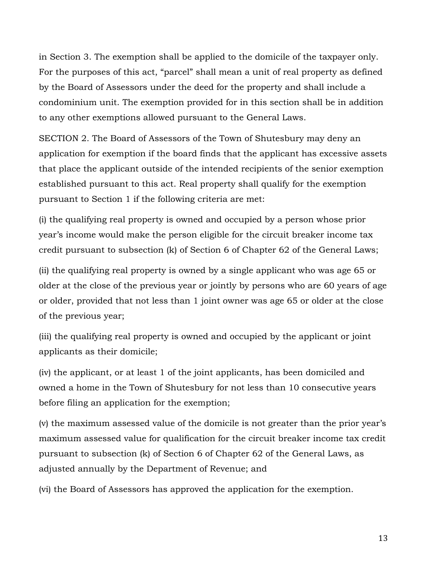in Section 3. The exemption shall be applied to the domicile of the taxpayer only. For the purposes of this act, "parcel" shall mean a unit of real property as defined by the Board of Assessors under the deed for the property and shall include a condominium unit. The exemption provided for in this section shall be in addition to any other exemptions allowed pursuant to the General Laws.

SECTION 2. The Board of Assessors of the Town of Shutesbury may deny an application for exemption if the board finds that the applicant has excessive assets that place the applicant outside of the intended recipients of the senior exemption established pursuant to this act. Real property shall qualify for the exemption pursuant to Section 1 if the following criteria are met:

(i) the qualifying real property is owned and occupied by a person whose prior year's income would make the person eligible for the circuit breaker income tax credit pursuant to subsection (k) of Section 6 of Chapter 62 of the General Laws;

(ii) the qualifying real property is owned by a single applicant who was age 65 or older at the close of the previous year or jointly by persons who are 60 years of age or older, provided that not less than 1 joint owner was age 65 or older at the close of the previous year;

(iii) the qualifying real property is owned and occupied by the applicant or joint applicants as their domicile;

(iv) the applicant, or at least 1 of the joint applicants, has been domiciled and owned a home in the Town of Shutesbury for not less than 10 consecutive years before filing an application for the exemption;

(v) the maximum assessed value of the domicile is not greater than the prior year's maximum assessed value for qualification for the circuit breaker income tax credit pursuant to subsection (k) of Section 6 of Chapter 62 of the General Laws, as adjusted annually by the Department of Revenue; and

(vi) the Board of Assessors has approved the application for the exemption.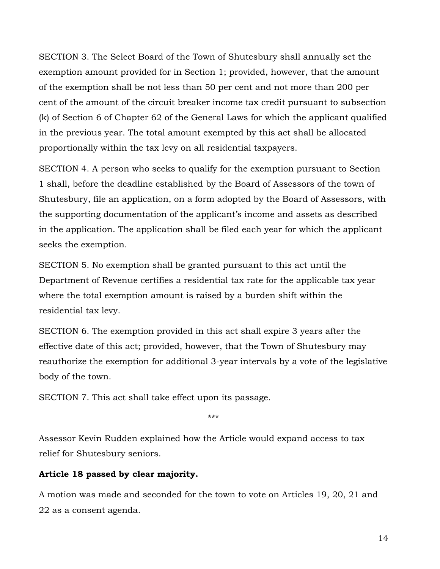SECTION 3. The Select Board of the Town of Shutesbury shall annually set the exemption amount provided for in Section 1; provided, however, that the amount of the exemption shall be not less than 50 per cent and not more than 200 per cent of the amount of the circuit breaker income tax credit pursuant to subsection (k) of Section 6 of Chapter 62 of the General Laws for which the applicant qualified in the previous year. The total amount exempted by this act shall be allocated proportionally within the tax levy on all residential taxpayers.

SECTION 4. A person who seeks to qualify for the exemption pursuant to Section 1 shall, before the deadline established by the Board of Assessors of the town of Shutesbury, file an application, on a form adopted by the Board of Assessors, with the supporting documentation of the applicant's income and assets as described in the application. The application shall be filed each year for which the applicant seeks the exemption.

SECTION 5. No exemption shall be granted pursuant to this act until the Department of Revenue certifies a residential tax rate for the applicable tax year where the total exemption amount is raised by a burden shift within the residential tax levy.

SECTION 6. The exemption provided in this act shall expire 3 years after the effective date of this act; provided, however, that the Town of Shutesbury may reauthorize the exemption for additional 3-year intervals by a vote of the legislative body of the town.

SECTION 7. This act shall take effect upon its passage.

\*\*\*

Assessor Kevin Rudden explained how the Article would expand access to tax relief for Shutesbury seniors.

## Article 18 passed by clear majority.

A motion was made and seconded for the town to vote on Articles 19, 20, 21 and 22 as a consent agenda.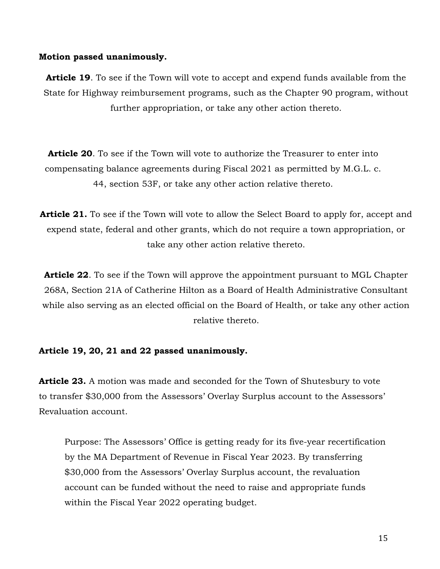#### Motion passed unanimously.

Article 19. To see if the Town will vote to accept and expend funds available from the State for Highway reimbursement programs, such as the Chapter 90 program, without further appropriation, or take any other action thereto.

**Article 20.** To see if the Town will vote to authorize the Treasurer to enter into compensating balance agreements during Fiscal 2021 as permitted by M.G.L. c. 44, section 53F, or take any other action relative thereto.

**Article 21.** To see if the Town will vote to allow the Select Board to apply for, accept and expend state, federal and other grants, which do not require a town appropriation, or take any other action relative thereto.

**Article 22.** To see if the Town will approve the appointment pursuant to MGL Chapter 268A, Section 21A of Catherine Hilton as a Board of Health Administrative Consultant while also serving as an elected official on the Board of Health, or take any other action relative thereto.

#### Article 19, 20, 21 and 22 passed unanimously.

**Article 23.** A motion was made and seconded for the Town of Shutesbury to vote to transfer \$30,000 from the Assessors' Overlay Surplus account to the Assessors' Revaluation account.

Purpose: The Assessors' Office is getting ready for its five-year recertification by the MA Department of Revenue in Fiscal Year 2023. By transferring \$30,000 from the Assessors' Overlay Surplus account, the revaluation account can be funded without the need to raise and appropriate funds within the Fiscal Year 2022 operating budget.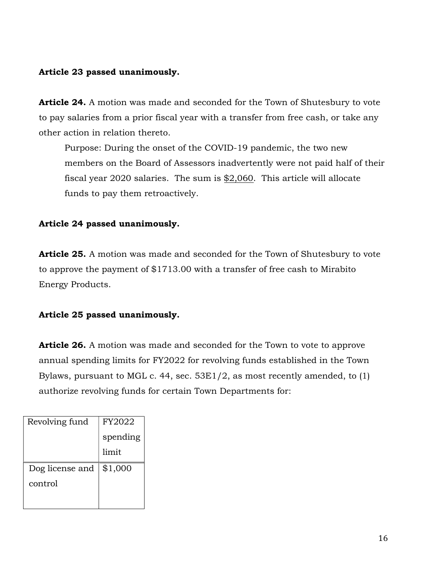### Article 23 passed unanimously.

Article 24. A motion was made and seconded for the Town of Shutesbury to vote to pay salaries from a prior fiscal year with a transfer from free cash, or take any other action in relation thereto.

Purpose: During the onset of the COVID-19 pandemic, the two new members on the Board of Assessors inadvertently were not paid half of their fiscal year 2020 salaries. The sum is \$2,060. This article will allocate funds to pay them retroactively.

## Article 24 passed unanimously.

**Article 25.** A motion was made and seconded for the Town of Shutesbury to vote to approve the payment of \$1713.00 with a transfer of free cash to Mirabito Energy Products.

## Article 25 passed unanimously.

**Article 26.** A motion was made and seconded for the Town to vote to approve annual spending limits for FY2022 for revolving funds established in the Town Bylaws, pursuant to MGL c. 44, sec. 53E1/2, as most recently amended, to (1) authorize revolving funds for certain Town Departments for:

| Revolving fund  | FY2022   |
|-----------------|----------|
|                 | spending |
|                 | limit    |
| Dog license and | \$1,000  |
| control         |          |
|                 |          |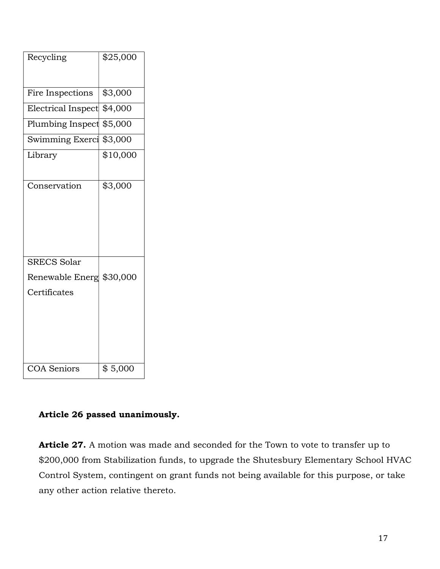| Recycling                | \$25,000 |
|--------------------------|----------|
|                          |          |
| Fire Inspections         | \$3,000  |
| Electrical Inspect       | \$4,000  |
| Plumbing Inspect         | \$5,000  |
| Swimming Exerci          | \$3,000  |
| Library                  | \$10,000 |
|                          |          |
| Conservation             | \$3,000  |
|                          |          |
|                          |          |
|                          |          |
|                          |          |
| SRECS Solar              |          |
| Renewable Energ \$30,000 |          |
| Certificates             |          |
|                          |          |
|                          |          |
|                          |          |
|                          |          |
| <b>COA Seniors</b>       | \$5,000  |

## Article 26 passed unanimously.

Article 27. A motion was made and seconded for the Town to vote to transfer up to \$200,000 from Stabilization funds, to upgrade the Shutesbury Elementary School HVAC Control System, contingent on grant funds not being available for this purpose, or take any other action relative thereto.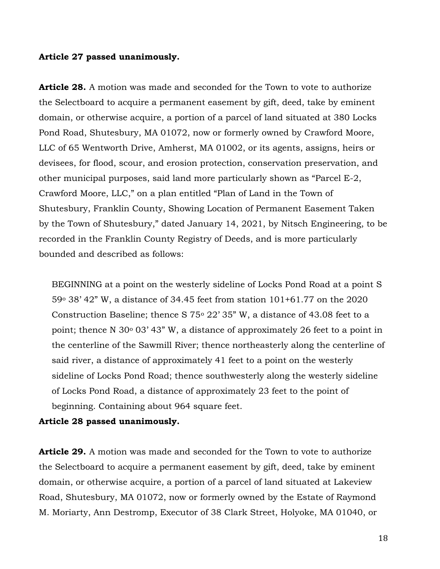#### Article 27 passed unanimously.

**Article 28.** A motion was made and seconded for the Town to vote to authorize the Selectboard to acquire a permanent easement by gift, deed, take by eminent domain, or otherwise acquire, a portion of a parcel of land situated at 380 Locks Pond Road, Shutesbury, MA 01072, now or formerly owned by Crawford Moore, LLC of 65 Wentworth Drive, Amherst, MA 01002, or its agents, assigns, heirs or devisees, for flood, scour, and erosion protection, conservation preservation, and other municipal purposes, said land more particularly shown as "Parcel E-2, Crawford Moore, LLC," on a plan entitled "Plan of Land in the Town of Shutesbury, Franklin County, Showing Location of Permanent Easement Taken by the Town of Shutesbury," dated January 14, 2021, by Nitsch Engineering, to be recorded in the Franklin County Registry of Deeds, and is more particularly bounded and described as follows:

BEGINNING at a point on the westerly sideline of Locks Pond Road at a point S 59o 38' 42" W, a distance of 34.45 feet from station 101+61.77 on the 2020 Construction Baseline; thence S  $75^{\circ}$  22' 35" W, a distance of 43.08 feet to a point; thence N 30 $\degree$  03' 43" W, a distance of approximately 26 feet to a point in the centerline of the Sawmill River; thence northeasterly along the centerline of said river, a distance of approximately 41 feet to a point on the westerly sideline of Locks Pond Road; thence southwesterly along the westerly sideline of Locks Pond Road, a distance of approximately 23 feet to the point of beginning. Containing about 964 square feet.

#### Article 28 passed unanimously.

**Article 29.** A motion was made and seconded for the Town to vote to authorize the Selectboard to acquire a permanent easement by gift, deed, take by eminent domain, or otherwise acquire, a portion of a parcel of land situated at Lakeview Road, Shutesbury, MA 01072, now or formerly owned by the Estate of Raymond M. Moriarty, Ann Destromp, Executor of 38 Clark Street, Holyoke, MA 01040, or